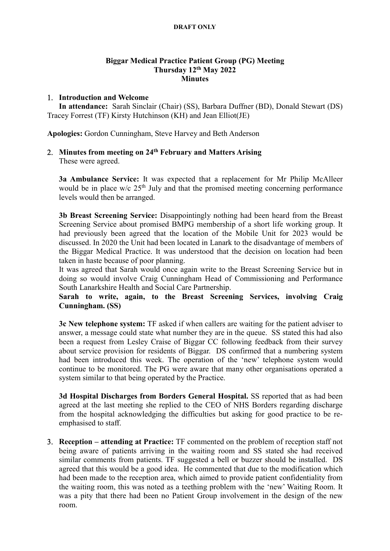#### DRAFT ONLY

## Biggar Medical Practice Patient Group (PG) Meeting Thursday 12th May 2022 **Minutes**

### 1. Introduction and Welcome

 In attendance: Sarah Sinclair (Chair) (SS), Barbara Duffner (BD), Donald Stewart (DS) Tracey Forrest (TF) Kirsty Hutchinson (KH) and Jean Elliot(JE)

Apologies: Gordon Cunningham, Steve Harvey and Beth Anderson

# 2. Minutes from meeting on 24<sup>th</sup> February and Matters Arising

These were agreed.

3a Ambulance Service: It was expected that a replacement for Mr Philip McAlleer would be in place  $w/c$  25<sup>th</sup> July and that the promised meeting concerning performance levels would then be arranged.

3b Breast Screening Service: Disappointingly nothing had been heard from the Breast Screening Service about promised BMPG membership of a short life working group. It had previously been agreed that the location of the Mobile Unit for 2023 would be discussed. In 2020 the Unit had been located in Lanark to the disadvantage of members of the Biggar Medical Practice. It was understood that the decision on location had been taken in haste because of poor planning.

It was agreed that Sarah would once again write to the Breast Screening Service but in doing so would involve Craig Cunningham Head of Commissioning and Performance South Lanarkshire Health and Social Care Partnership.

# Sarah to write, again, to the Breast Screening Services, involving Craig Cunningham. (SS)

3c New telephone system: TF asked if when callers are waiting for the patient adviser to answer, a message could state what number they are in the queue. SS stated this had also been a request from Lesley Craise of Biggar CC following feedback from their survey about service provision for residents of Biggar. DS confirmed that a numbering system had been introduced this week. The operation of the 'new' telephone system would continue to be monitored. The PG were aware that many other organisations operated a system similar to that being operated by the Practice.

3d Hospital Discharges from Borders General Hospital. SS reported that as had been agreed at the last meeting she replied to the CEO of NHS Borders regarding discharge from the hospital acknowledging the difficulties but asking for good practice to be reemphasised to staff.

 Reception – attending at Practice: TF commented on the problem of reception staff not being aware of patients arriving in the waiting room and SS stated she had received similar comments from patients. TF suggested a bell or buzzer should be installed. DS agreed that this would be a good idea. He commented that due to the modification which had been made to the reception area, which aimed to provide patient confidentiality from the waiting room, this was noted as a teething problem with the 'new' Waiting Room. It was a pity that there had been no Patient Group involvement in the design of the new room.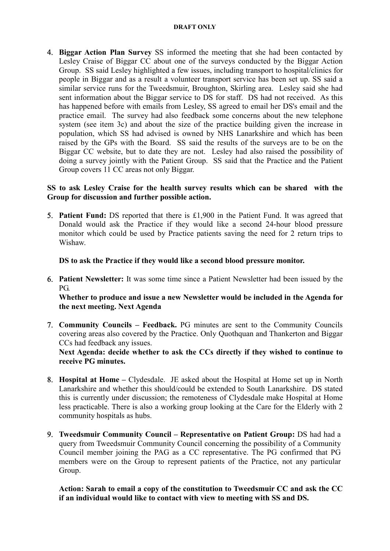#### DRAFT ONLY

4. Biggar Action Plan Survey SS informed the meeting that she had been contacted by Lesley Craise of Biggar CC about one of the surveys conducted by the Biggar Action Group. SS said Lesley highlighted a few issues, including transport to hospital/clinics for people in Biggar and as a result a volunteer transport service has been set up. SS said a similar service runs for the Tweedsmuir, Broughton, Skirling area. Lesley said she had sent information about the Biggar service to DS for staff. DS had not received. As this has happened before with emails from Lesley, SS agreed to email her DS's email and the practice email. The survey had also feedback some concerns about the new telephone system (see item 3c) and about the size of the practice building given the increase in population, which SS had advised is owned by NHS Lanarkshire and which has been raised by the GPs with the Board. SS said the results of the surveys are to be on the Biggar CC website, but to date they are not. Lesley had also raised the possibility of doing a survey jointly with the Patient Group. SS said that the Practice and the Patient Group covers 11 CC areas not only Biggar.

# SS to ask Lesley Craise for the health survey results which can be shared with the Group for discussion and further possible action.

5. Patient Fund: DS reported that there is  $£1,900$  in the Patient Fund. It was agreed that Donald would ask the Practice if they would like a second 24-hour blood pressure monitor which could be used by Practice patients saving the need for 2 return trips to Wishaw.

DS to ask the Practice if they would like a second blood pressure monitor.

 Patient Newsletter: It was some time since a Patient Newsletter had been issued by the PG.

Whether to produce and issue a new Newsletter would be included in the Agenda for the next meeting. Next Agenda

 Community Councils – Feedback. PG minutes are sent to the Community Councils covering areas also covered by the Practice. Only Quothquan and Thankerton and Biggar CCs had feedback any issues.

Next Agenda: decide whether to ask the CCs directly if they wished to continue to receive PG minutes.

- Hospital at Home Clydesdale. JE asked about the Hospital at Home set up in North Lanarkshire and whether this should/could be extended to South Lanarkshire. DS stated this is currently under discussion; the remoteness of Clydesdale make Hospital at Home less practicable. There is also a working group looking at the Care for the Elderly with 2 community hospitals as hubs.
- Tweedsmuir Community Council Representative on Patient Group: DS had had a query from Tweedsmuir Community Council concerning the possibility of a Community Council member joining the PAG as a CC representative. The PG confirmed that PG members were on the Group to represent patients of the Practice, not any particular Group.

Action: Sarah to email a copy of the constitution to Tweedsmuir CC and ask the CC if an individual would like to contact with view to meeting with SS and DS.